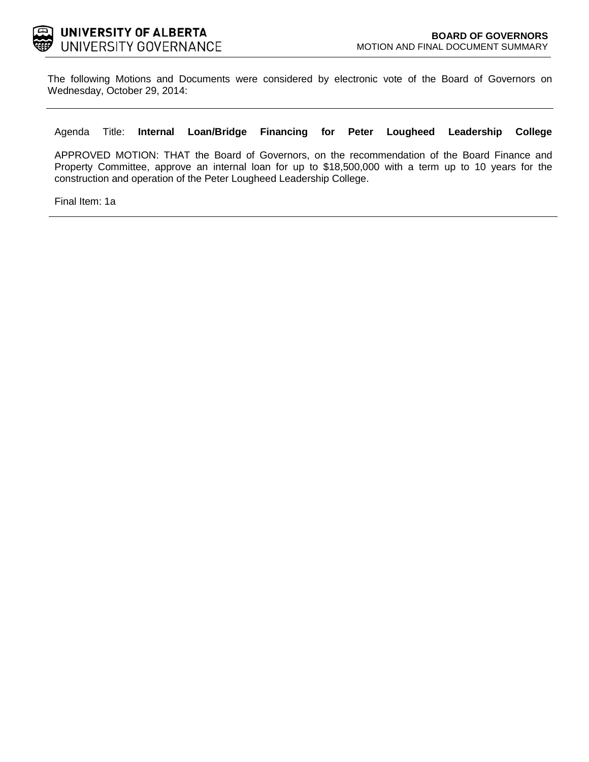

The following Motions and Documents were considered by electronic vote of the Board of Governors on Wednesday, October 29, 2014:

### Agenda Title: **Internal Loan/Bridge Financing for Peter Lougheed Leadership College**

APPROVED MOTION: THAT the Board of Governors, on the recommendation of the Board Finance and Property Committee, approve an internal loan for up to \$18,500,000 with a term up to 10 years for the construction and operation of the Peter Lougheed Leadership College.

Final Item: [1a](#page-1-0)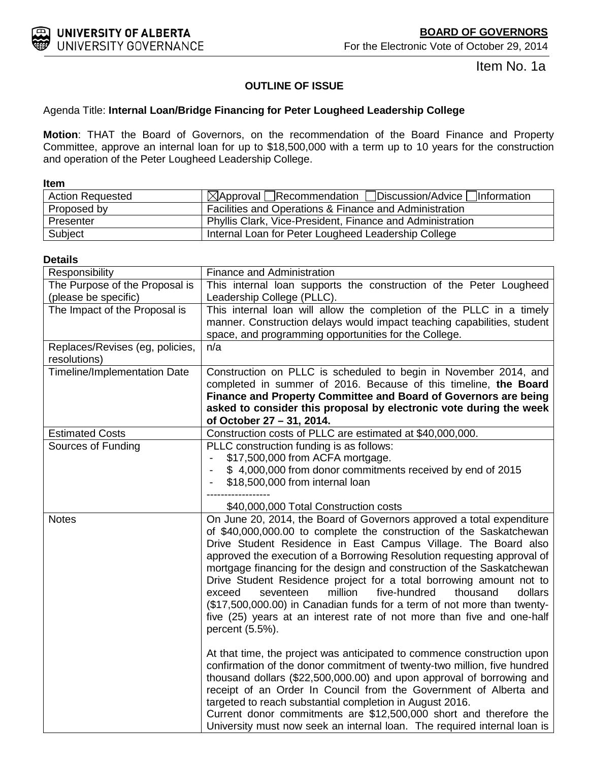<span id="page-1-0"></span>

Item No. 1a

## **OUTLINE OF ISSUE**

## Agenda Title: **Internal Loan/Bridge Financing for Peter Lougheed Leadership College**

**Motion**: THAT the Board of Governors, on the recommendation of the Board Finance and Property Committee, approve an internal loan for up to \$18,500,000 with a term up to 10 years for the construction and operation of the Peter Lougheed Leadership College.

| <b>Item</b>             |                                                                    |
|-------------------------|--------------------------------------------------------------------|
| <b>Action Requested</b> | $\mathbb{Z}$ Approval Recommendation Discussion/Advice Information |
| Proposed by             | Facilities and Operations & Finance and Administration             |
| Presenter               | Phyllis Clark, Vice-President, Finance and Administration          |
| Subject                 | Internal Loan for Peter Lougheed Leadership College                |

### **Details**

| Responsibility                  | Finance and Administration                                                                                                                                                                                                                                                                                                                                                                                                                                                                                                                                                                                                                                                                  |  |  |  |  |
|---------------------------------|---------------------------------------------------------------------------------------------------------------------------------------------------------------------------------------------------------------------------------------------------------------------------------------------------------------------------------------------------------------------------------------------------------------------------------------------------------------------------------------------------------------------------------------------------------------------------------------------------------------------------------------------------------------------------------------------|--|--|--|--|
| The Purpose of the Proposal is  | This internal loan supports the construction of the Peter Lougheed                                                                                                                                                                                                                                                                                                                                                                                                                                                                                                                                                                                                                          |  |  |  |  |
| (please be specific)            | Leadership College (PLLC).                                                                                                                                                                                                                                                                                                                                                                                                                                                                                                                                                                                                                                                                  |  |  |  |  |
| The Impact of the Proposal is   | This internal loan will allow the completion of the PLLC in a timely                                                                                                                                                                                                                                                                                                                                                                                                                                                                                                                                                                                                                        |  |  |  |  |
|                                 | manner. Construction delays would impact teaching capabilities, student                                                                                                                                                                                                                                                                                                                                                                                                                                                                                                                                                                                                                     |  |  |  |  |
| Replaces/Revises (eg, policies, | space, and programming opportunities for the College.<br>n/a                                                                                                                                                                                                                                                                                                                                                                                                                                                                                                                                                                                                                                |  |  |  |  |
| resolutions)                    |                                                                                                                                                                                                                                                                                                                                                                                                                                                                                                                                                                                                                                                                                             |  |  |  |  |
| Timeline/Implementation Date    | Construction on PLLC is scheduled to begin in November 2014, and                                                                                                                                                                                                                                                                                                                                                                                                                                                                                                                                                                                                                            |  |  |  |  |
|                                 | completed in summer of 2016. Because of this timeline, the Board                                                                                                                                                                                                                                                                                                                                                                                                                                                                                                                                                                                                                            |  |  |  |  |
|                                 | Finance and Property Committee and Board of Governors are being                                                                                                                                                                                                                                                                                                                                                                                                                                                                                                                                                                                                                             |  |  |  |  |
|                                 | asked to consider this proposal by electronic vote during the week<br>of October 27 - 31, 2014.                                                                                                                                                                                                                                                                                                                                                                                                                                                                                                                                                                                             |  |  |  |  |
| <b>Estimated Costs</b>          | Construction costs of PLLC are estimated at \$40,000,000.                                                                                                                                                                                                                                                                                                                                                                                                                                                                                                                                                                                                                                   |  |  |  |  |
| Sources of Funding              | PLLC construction funding is as follows:                                                                                                                                                                                                                                                                                                                                                                                                                                                                                                                                                                                                                                                    |  |  |  |  |
|                                 | \$17,500,000 from ACFA mortgage.                                                                                                                                                                                                                                                                                                                                                                                                                                                                                                                                                                                                                                                            |  |  |  |  |
|                                 | \$4,000,000 from donor commitments received by end of 2015                                                                                                                                                                                                                                                                                                                                                                                                                                                                                                                                                                                                                                  |  |  |  |  |
|                                 | \$18,500,000 from internal loan                                                                                                                                                                                                                                                                                                                                                                                                                                                                                                                                                                                                                                                             |  |  |  |  |
|                                 |                                                                                                                                                                                                                                                                                                                                                                                                                                                                                                                                                                                                                                                                                             |  |  |  |  |
|                                 | \$40,000,000 Total Construction costs                                                                                                                                                                                                                                                                                                                                                                                                                                                                                                                                                                                                                                                       |  |  |  |  |
| <b>Notes</b>                    | On June 20, 2014, the Board of Governors approved a total expenditure<br>of \$40,000,000.00 to complete the construction of the Saskatchewan<br>Drive Student Residence in East Campus Village. The Board also<br>approved the execution of a Borrowing Resolution requesting approval of<br>mortgage financing for the design and construction of the Saskatchewan<br>Drive Student Residence project for a total borrowing amount not to<br>million<br>five-hundred<br>dollars<br>exceed<br>seventeen<br>thousand<br>(\$17,500,000.00) in Canadian funds for a term of not more than twenty-<br>five (25) years at an interest rate of not more than five and one-half<br>percent (5.5%). |  |  |  |  |
|                                 | At that time, the project was anticipated to commence construction upon<br>confirmation of the donor commitment of twenty-two million, five hundred<br>thousand dollars (\$22,500,000.00) and upon approval of borrowing and<br>receipt of an Order In Council from the Government of Alberta and<br>targeted to reach substantial completion in August 2016.<br>Current donor commitments are \$12,500,000 short and therefore the<br>University must now seek an internal loan. The required internal loan is                                                                                                                                                                             |  |  |  |  |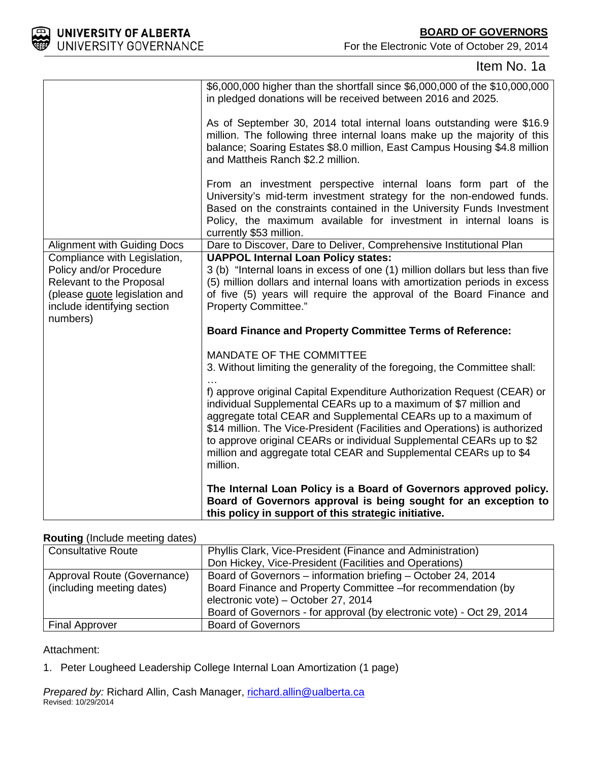

For the Electronic Vote of October 29, 2014

# Item No. 1a

|                                                                                                                                                                        | \$6,000,000 higher than the shortfall since \$6,000,000 of the \$10,000,000<br>in pledged donations will be received between 2016 and 2025.                                                                                                                                                                                                                                                                                                          |
|------------------------------------------------------------------------------------------------------------------------------------------------------------------------|------------------------------------------------------------------------------------------------------------------------------------------------------------------------------------------------------------------------------------------------------------------------------------------------------------------------------------------------------------------------------------------------------------------------------------------------------|
|                                                                                                                                                                        | As of September 30, 2014 total internal loans outstanding were \$16.9<br>million. The following three internal loans make up the majority of this<br>balance; Soaring Estates \$8.0 million, East Campus Housing \$4.8 million<br>and Mattheis Ranch \$2.2 million.                                                                                                                                                                                  |
|                                                                                                                                                                        | From an investment perspective internal loans form part of the<br>University's mid-term investment strategy for the non-endowed funds.<br>Based on the constraints contained in the University Funds Investment<br>Policy, the maximum available for investment in internal loans is<br>currently \$53 million.                                                                                                                                      |
| <b>Alignment with Guiding Docs</b>                                                                                                                                     | Dare to Discover, Dare to Deliver, Comprehensive Institutional Plan                                                                                                                                                                                                                                                                                                                                                                                  |
| Compliance with Legislation,<br>Policy and/or Procedure<br>Relevant to the Proposal<br>(please <b>quote</b> legislation and<br>include identifying section<br>numbers) | <b>UAPPOL Internal Loan Policy states:</b><br>3 (b) "Internal loans in excess of one (1) million dollars but less than five<br>(5) million dollars and internal loans with amortization periods in excess<br>of five (5) years will require the approval of the Board Finance and<br>Property Committee."                                                                                                                                            |
|                                                                                                                                                                        | <b>Board Finance and Property Committee Terms of Reference:</b>                                                                                                                                                                                                                                                                                                                                                                                      |
|                                                                                                                                                                        | <b>MANDATE OF THE COMMITTEE</b><br>3. Without limiting the generality of the foregoing, the Committee shall:                                                                                                                                                                                                                                                                                                                                         |
|                                                                                                                                                                        | f) approve original Capital Expenditure Authorization Request (CEAR) or<br>individual Supplemental CEARs up to a maximum of \$7 million and<br>aggregate total CEAR and Supplemental CEARs up to a maximum of<br>\$14 million. The Vice-President (Facilities and Operations) is authorized<br>to approve original CEARs or individual Supplemental CEARs up to \$2<br>million and aggregate total CEAR and Supplemental CEARs up to \$4<br>million. |
|                                                                                                                                                                        | The Internal Loan Policy is a Board of Governors approved policy.<br>Board of Governors approval is being sought for an exception to<br>this policy in support of this strategic initiative.                                                                                                                                                                                                                                                         |

## **Routing** (Include meeting dates)

| <b>Consultative Route</b>   | Phyllis Clark, Vice-President (Finance and Administration)            |  |  |
|-----------------------------|-----------------------------------------------------------------------|--|--|
|                             | Don Hickey, Vice-President (Facilities and Operations)                |  |  |
| Approval Route (Governance) | Board of Governors - information briefing - October 24, 2014          |  |  |
| (including meeting dates)   | Board Finance and Property Committee -for recommendation (by          |  |  |
|                             | electronic vote) - October 27, 2014                                   |  |  |
|                             | Board of Governors - for approval (by electronic vote) - Oct 29, 2014 |  |  |
| <b>Final Approver</b>       | <b>Board of Governors</b>                                             |  |  |

## Attachment:

1. Peter Lougheed Leadership College Internal Loan Amortization (1 page)

*Prepared by:* Richard Allin, Cash Manager, [richard.allin@ualberta.ca](mailto:richard.allin@ualberta.ca) Revised: 10/29/2014